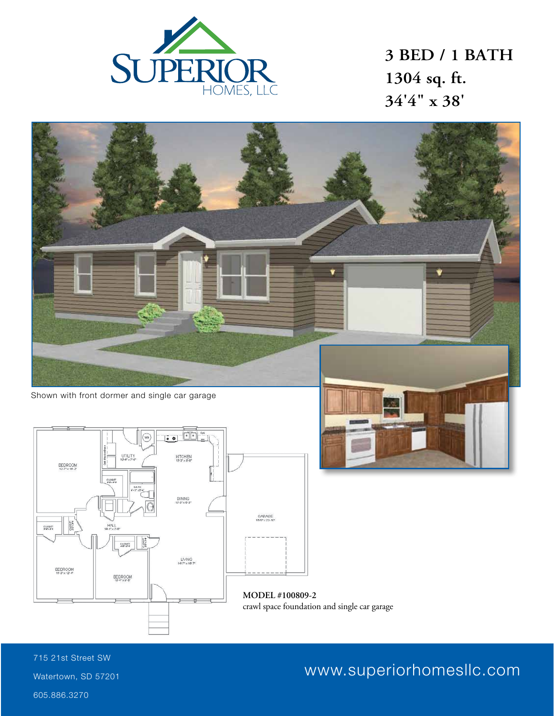

**3 BED / 1 BATH 1304 sq. ft. 34'4" x 38'**



Shown with front dormer and single car garage



crawl space foundation and single car garage

715 21st Street SW Watertown, SD 57201 605.886.3270

# www.superiorhomesllc.com